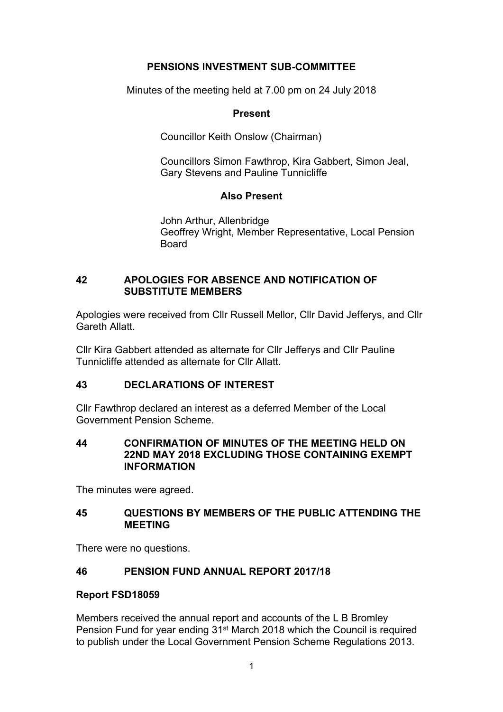# **PENSIONS INVESTMENT SUB-COMMITTEE**

Minutes of the meeting held at 7.00 pm on 24 July 2018

## **Present**

Councillor Keith Onslow (Chairman)

Councillors Simon Fawthrop, Kira Gabbert, Simon Jeal, Gary Stevens and Pauline Tunnicliffe

# **Also Present**

John Arthur, Allenbridge Geoffrey Wright, Member Representative, Local Pension **Board** 

## **42 APOLOGIES FOR ABSENCE AND NOTIFICATION OF SUBSTITUTE MEMBERS**

Apologies were received from Cllr Russell Mellor, Cllr David Jefferys, and Cllr Gareth Allatt.

Cllr Kira Gabbert attended as alternate for Cllr Jefferys and Cllr Pauline Tunnicliffe attended as alternate for Cllr Allatt.

# **43 DECLARATIONS OF INTEREST**

Cllr Fawthrop declared an interest as a deferred Member of the Local Government Pension Scheme.

## **44 CONFIRMATION OF MINUTES OF THE MEETING HELD ON 22ND MAY 2018 EXCLUDING THOSE CONTAINING EXEMPT INFORMATION**

The minutes were agreed.

# **45 QUESTIONS BY MEMBERS OF THE PUBLIC ATTENDING THE MEETING**

There were no questions.

# **46 PENSION FUND ANNUAL REPORT 2017/18**

## **Report FSD18059**

Members received the annual report and accounts of the L B Bromley Pension Fund for year ending 31st March 2018 which the Council is required to publish under the Local Government Pension Scheme Regulations 2013.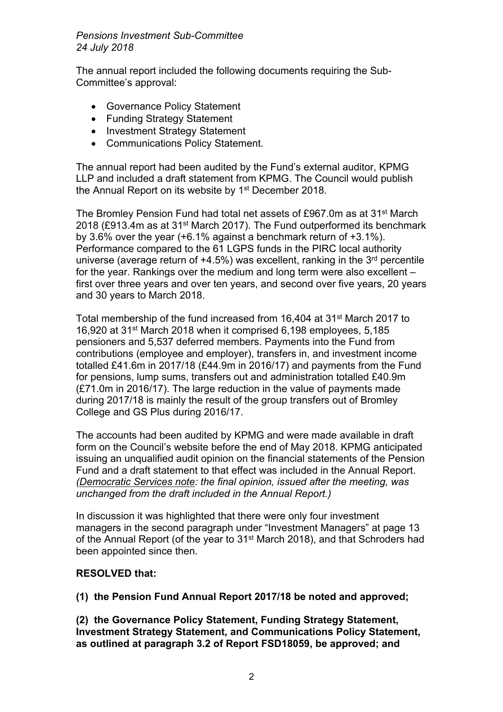The annual report included the following documents requiring the Sub-Committee's approval:

- Governance Policy Statement
- Funding Strategy Statement
- Investment Strategy Statement
- Communications Policy Statement.

The annual report had been audited by the Fund's external auditor, KPMG LLP and included a draft statement from KPMG. The Council would publish the Annual Report on its website by 1<sup>st</sup> December 2018.

The Bromley Pension Fund had total net assets of £967.0m as at 31st March 2018 (£913.4m as at 31<sup>st</sup> March 2017). The Fund outperformed its benchmark by 3.6% over the year (+6.1% against a benchmark return of +3.1%). Performance compared to the 61 LGPS funds in the PIRC local authority universe (average return of +4.5%) was excellent, ranking in the 3<sup>rd</sup> percentile for the year. Rankings over the medium and long term were also excellent – first over three years and over ten years, and second over five years, 20 years and 30 years to March 2018.

Total membership of the fund increased from 16,404 at 31st March 2017 to 16,920 at 31st March 2018 when it comprised 6,198 employees, 5,185 pensioners and 5,537 deferred members. Payments into the Fund from contributions (employee and employer), transfers in, and investment income totalled £41.6m in 2017/18 (£44.9m in 2016/17) and payments from the Fund for pensions, lump sums, transfers out and administration totalled £40.9m (£71.0m in 2016/17). The large reduction in the value of payments made during 2017/18 is mainly the result of the group transfers out of Bromley College and GS Plus during 2016/17.

The accounts had been audited by KPMG and were made available in draft form on the Council's website before the end of May 2018. KPMG anticipated issuing an unqualified audit opinion on the financial statements of the Pension Fund and a draft statement to that effect was included in the Annual Report. *(Democratic Services note: the final opinion, issued after the meeting, was unchanged from the draft included in the Annual Report.)*

In discussion it was highlighted that there were only four investment managers in the second paragraph under "Investment Managers" at page 13 of the Annual Report (of the year to 31st March 2018), and that Schroders had been appointed since then.

## **RESOLVED that:**

**(1) the Pension Fund Annual Report 2017/18 be noted and approved;**

**(2) the Governance Policy Statement, Funding Strategy Statement, Investment Strategy Statement, and Communications Policy Statement, as outlined at paragraph 3.2 of Report FSD18059, be approved; and**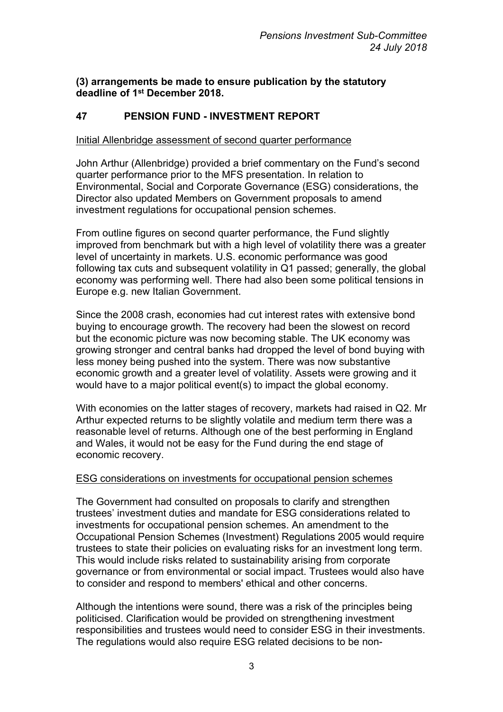## **(3) arrangements be made to ensure publication by the statutory deadline of 1 st December 2018.**

## **47 PENSION FUND - INVESTMENT REPORT**

#### Initial Allenbridge assessment of second quarter performance

John Arthur (Allenbridge) provided a brief commentary on the Fund's second quarter performance prior to the MFS presentation. In relation to Environmental, Social and Corporate Governance (ESG) considerations, the Director also updated Members on Government proposals to amend investment regulations for occupational pension schemes.

From outline figures on second quarter performance, the Fund slightly improved from benchmark but with a high level of volatility there was a greater level of uncertainty in markets. U.S. economic performance was good following tax cuts and subsequent volatility in Q1 passed; generally, the global economy was performing well. There had also been some political tensions in Europe e.g. new Italian Government.

Since the 2008 crash, economies had cut interest rates with extensive bond buying to encourage growth. The recovery had been the slowest on record but the economic picture was now becoming stable. The UK economy was growing stronger and central banks had dropped the level of bond buying with less money being pushed into the system. There was now substantive economic growth and a greater level of volatility. Assets were growing and it would have to a major political event(s) to impact the global economy.

With economies on the latter stages of recovery, markets had raised in Q2. Mr Arthur expected returns to be slightly volatile and medium term there was a reasonable level of returns. Although one of the best performing in England and Wales, it would not be easy for the Fund during the end stage of economic recovery.

#### ESG considerations on investments for occupational pension schemes

The Government had consulted on proposals to clarify and strengthen trustees' investment duties and mandate for ESG considerations related to investments for occupational pension schemes. An amendment to the Occupational Pension Schemes (Investment) Regulations 2005 would require trustees to state their policies on evaluating risks for an investment long term. This would include risks related to sustainability arising from corporate governance or from environmental or social impact. Trustees would also have to consider and respond to members' ethical and other concerns.

Although the intentions were sound, there was a risk of the principles being politicised. Clarification would be provided on strengthening investment responsibilities and trustees would need to consider ESG in their investments. The regulations would also require ESG related decisions to be non-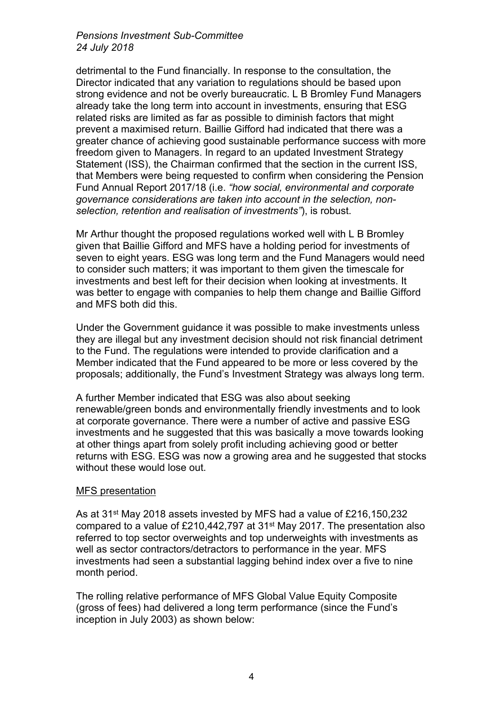detrimental to the Fund financially. In response to the consultation, the Director indicated that any variation to regulations should be based upon strong evidence and not be overly bureaucratic. L B Bromley Fund Managers already take the long term into account in investments, ensuring that ESG related risks are limited as far as possible to diminish factors that might prevent a maximised return. Baillie Gifford had indicated that there was a greater chance of achieving good sustainable performance success with more freedom given to Managers. In regard to an updated Investment Strategy Statement (ISS), the Chairman confirmed that the section in the current ISS, that Members were being requested to confirm when considering the Pension Fund Annual Report 2017/18 (i.e. *"how social, environmental and corporate governance considerations are taken into account in the selection, nonselection, retention and realisation of investments"*), is robust.

Mr Arthur thought the proposed regulations worked well with L B Bromley given that Baillie Gifford and MFS have a holding period for investments of seven to eight years. ESG was long term and the Fund Managers would need to consider such matters; it was important to them given the timescale for investments and best left for their decision when looking at investments. It was better to engage with companies to help them change and Baillie Gifford and MFS both did this.

Under the Government guidance it was possible to make investments unless they are illegal but any investment decision should not risk financial detriment to the Fund. The regulations were intended to provide clarification and a Member indicated that the Fund appeared to be more or less covered by the proposals; additionally, the Fund's Investment Strategy was always long term.

A further Member indicated that ESG was also about seeking renewable/green bonds and environmentally friendly investments and to look at corporate governance. There were a number of active and passive ESG investments and he suggested that this was basically a move towards looking at other things apart from solely profit including achieving good or better returns with ESG. ESG was now a growing area and he suggested that stocks without these would lose out.

## MFS presentation

As at 31st May 2018 assets invested by MFS had a value of £216,150,232 compared to a value of £210,442,797 at 31st May 2017. The presentation also referred to top sector overweights and top underweights with investments as well as sector contractors/detractors to performance in the year. MFS investments had seen a substantial lagging behind index over a five to nine month period.

The rolling relative performance of MFS Global Value Equity Composite (gross of fees) had delivered a long term performance (since the Fund's inception in July 2003) as shown below: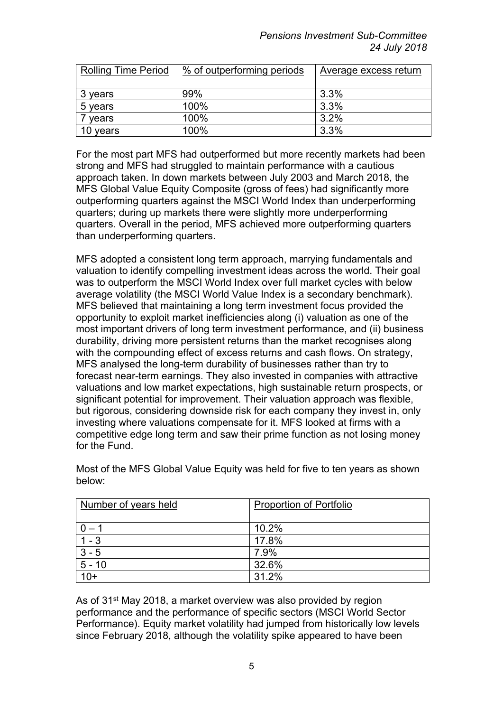| <b>Rolling Time Period</b> | % of outperforming periods | Average excess return |
|----------------------------|----------------------------|-----------------------|
|                            |                            |                       |
| 3 years                    | 99%                        | $3.3\%$               |
| 5 years                    | 100%                       | 3.3%                  |
| vears                      | 100%                       | 3.2%                  |
| 10 years                   | 100%                       | 3.3%                  |

For the most part MFS had outperformed but more recently markets had been strong and MFS had struggled to maintain performance with a cautious approach taken. In down markets between July 2003 and March 2018, the MFS Global Value Equity Composite (gross of fees) had significantly more outperforming quarters against the MSCI World Index than underperforming quarters; during up markets there were slightly more underperforming quarters. Overall in the period, MFS achieved more outperforming quarters than underperforming quarters.

MFS adopted a consistent long term approach, marrying fundamentals and valuation to identify compelling investment ideas across the world. Their goal was to outperform the MSCI World Index over full market cycles with below average volatility (the MSCI World Value Index is a secondary benchmark). MFS believed that maintaining a long term investment focus provided the opportunity to exploit market inefficiencies along (i) valuation as one of the most important drivers of long term investment performance, and (ii) business durability, driving more persistent returns than the market recognises along with the compounding effect of excess returns and cash flows. On strategy, MFS analysed the long-term durability of businesses rather than try to forecast near-term earnings. They also invested in companies with attractive valuations and low market expectations, high sustainable return prospects, or significant potential for improvement. Their valuation approach was flexible, but rigorous, considering downside risk for each company they invest in, only investing where valuations compensate for it. MFS looked at firms with a competitive edge long term and saw their prime function as not losing money for the Fund.

| Number of years held | <b>Proportion of Portfolio</b> |
|----------------------|--------------------------------|
| $0 - 1$              | 10.2%                          |
| $1 - 3$              | 17.8%                          |
| $3 - 5$              | 7.9%                           |
| $5 - 10$             | 32.6%                          |
| $10+$                | 31.2%                          |

Most of the MFS Global Value Equity was held for five to ten years as shown below:

As of 31st May 2018, a market overview was also provided by region performance and the performance of specific sectors (MSCI World Sector Performance). Equity market volatility had jumped from historically low levels since February 2018, although the volatility spike appeared to have been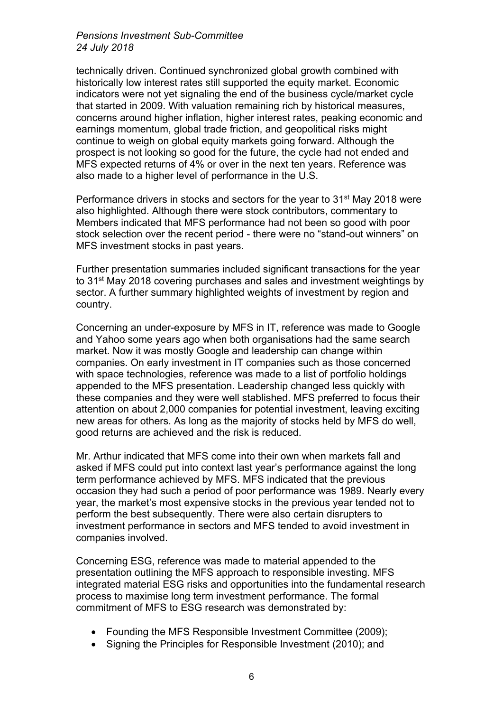technically driven. Continued synchronized global growth combined with historically low interest rates still supported the equity market. Economic indicators were not yet signaling the end of the business cycle/market cycle that started in 2009. With valuation remaining rich by historical measures, concerns around higher inflation, higher interest rates, peaking economic and earnings momentum, global trade friction, and geopolitical risks might continue to weigh on global equity markets going forward. Although the prospect is not looking so good for the future, the cycle had not ended and MFS expected returns of 4% or over in the next ten years. Reference was also made to a higher level of performance in the U.S.

Performance drivers in stocks and sectors for the year to 31<sup>st</sup> May 2018 were also highlighted. Although there were stock contributors, commentary to Members indicated that MFS performance had not been so good with poor stock selection over the recent period - there were no "stand-out winners" on MFS investment stocks in past years.

Further presentation summaries included significant transactions for the year to 31st May 2018 covering purchases and sales and investment weightings by sector. A further summary highlighted weights of investment by region and country.

Concerning an under-exposure by MFS in IT, reference was made to Google and Yahoo some years ago when both organisations had the same search market. Now it was mostly Google and leadership can change within companies. On early investment in IT companies such as those concerned with space technologies, reference was made to a list of portfolio holdings appended to the MFS presentation. Leadership changed less quickly with these companies and they were well stablished. MFS preferred to focus their attention on about 2,000 companies for potential investment, leaving exciting new areas for others. As long as the majority of stocks held by MFS do well, good returns are achieved and the risk is reduced.

Mr. Arthur indicated that MFS come into their own when markets fall and asked if MFS could put into context last year's performance against the long term performance achieved by MFS. MFS indicated that the previous occasion they had such a period of poor performance was 1989. Nearly every year, the market's most expensive stocks in the previous year tended not to perform the best subsequently. There were also certain disrupters to investment performance in sectors and MFS tended to avoid investment in companies involved.

Concerning ESG, reference was made to material appended to the presentation outlining the MFS approach to responsible investing. MFS integrated material ESG risks and opportunities into the fundamental research process to maximise long term investment performance. The formal commitment of MFS to ESG research was demonstrated by:

- Founding the MFS Responsible Investment Committee (2009);
- Signing the Principles for Responsible Investment (2010); and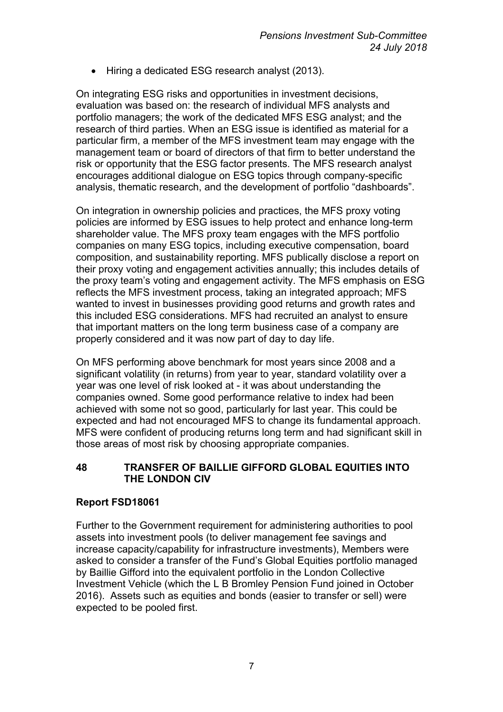• Hiring a dedicated ESG research analyst (2013).

On integrating ESG risks and opportunities in investment decisions, evaluation was based on: the research of individual MFS analysts and portfolio managers; the work of the dedicated MFS ESG analyst; and the research of third parties. When an ESG issue is identified as material for a particular firm, a member of the MFS investment team may engage with the management team or board of directors of that firm to better understand the risk or opportunity that the ESG factor presents. The MFS research analyst encourages additional dialogue on ESG topics through company-specific analysis, thematic research, and the development of portfolio "dashboards".

On integration in ownership policies and practices, the MFS proxy voting policies are informed by ESG issues to help protect and enhance long-term shareholder value. The MFS proxy team engages with the MFS portfolio companies on many ESG topics, including executive compensation, board composition, and sustainability reporting. MFS publically disclose a report on their proxy voting and engagement activities annually; this includes details of the proxy team's voting and engagement activity. The MFS emphasis on ESG reflects the MFS investment process, taking an integrated approach; MFS wanted to invest in businesses providing good returns and growth rates and this included ESG considerations. MFS had recruited an analyst to ensure that important matters on the long term business case of a company are properly considered and it was now part of day to day life.

On MFS performing above benchmark for most years since 2008 and a significant volatility (in returns) from year to year, standard volatility over a year was one level of risk looked at - it was about understanding the companies owned. Some good performance relative to index had been achieved with some not so good, particularly for last year. This could be expected and had not encouraged MFS to change its fundamental approach. MFS were confident of producing returns long term and had significant skill in those areas of most risk by choosing appropriate companies.

## **48 TRANSFER OF BAILLIE GIFFORD GLOBAL EQUITIES INTO THE LONDON CIV**

# **Report FSD18061**

Further to the Government requirement for administering authorities to pool assets into investment pools (to deliver management fee savings and increase capacity/capability for infrastructure investments), Members were asked to consider a transfer of the Fund's Global Equities portfolio managed by Baillie Gifford into the equivalent portfolio in the London Collective Investment Vehicle (which the L B Bromley Pension Fund joined in October 2016). Assets such as equities and bonds (easier to transfer or sell) were expected to be pooled first.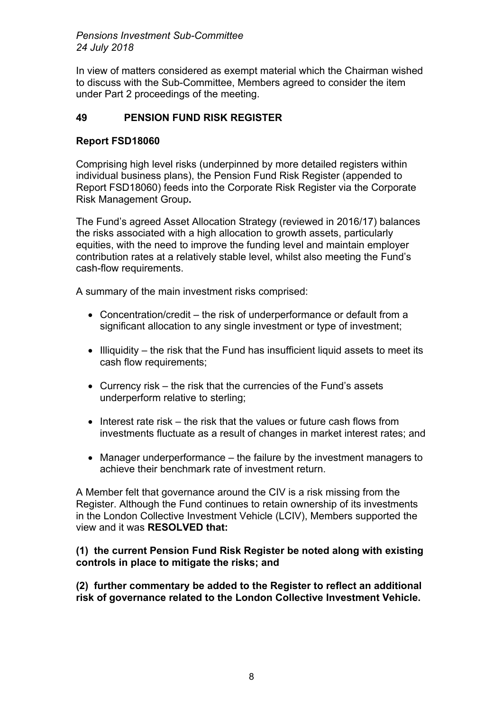In view of matters considered as exempt material which the Chairman wished to discuss with the Sub-Committee, Members agreed to consider the item under Part 2 proceedings of the meeting.

# **49 PENSION FUND RISK REGISTER**

## **Report FSD18060**

Comprising high level risks (underpinned by more detailed registers within individual business plans), the Pension Fund Risk Register (appended to Report FSD18060) feeds into the Corporate Risk Register via the Corporate Risk Management Group**.**

The Fund's agreed Asset Allocation Strategy (reviewed in 2016/17) balances the risks associated with a high allocation to growth assets, particularly equities, with the need to improve the funding level and maintain employer contribution rates at a relatively stable level, whilst also meeting the Fund's cash-flow requirements.

A summary of the main investment risks comprised:

- Concentration/credit the risk of underperformance or default from a significant allocation to any single investment or type of investment;
- $\bullet$  Illiquidity the risk that the Fund has insufficient liquid assets to meet its cash flow requirements;
- Currency risk the risk that the currencies of the Fund's assets underperform relative to sterling;
- $\bullet$  Interest rate risk the risk that the values or future cash flows from investments fluctuate as a result of changes in market interest rates; and
- Manager underperformance the failure by the investment managers to achieve their benchmark rate of investment return.

A Member felt that governance around the CIV is a risk missing from the Register. Although the Fund continues to retain ownership of its investments in the London Collective Investment Vehicle (LCIV), Members supported the view and it was **RESOLVED that:**

## **(1) the current Pension Fund Risk Register be noted along with existing controls in place to mitigate the risks; and**

**(2) further commentary be added to the Register to reflect an additional risk of governance related to the London Collective Investment Vehicle.**